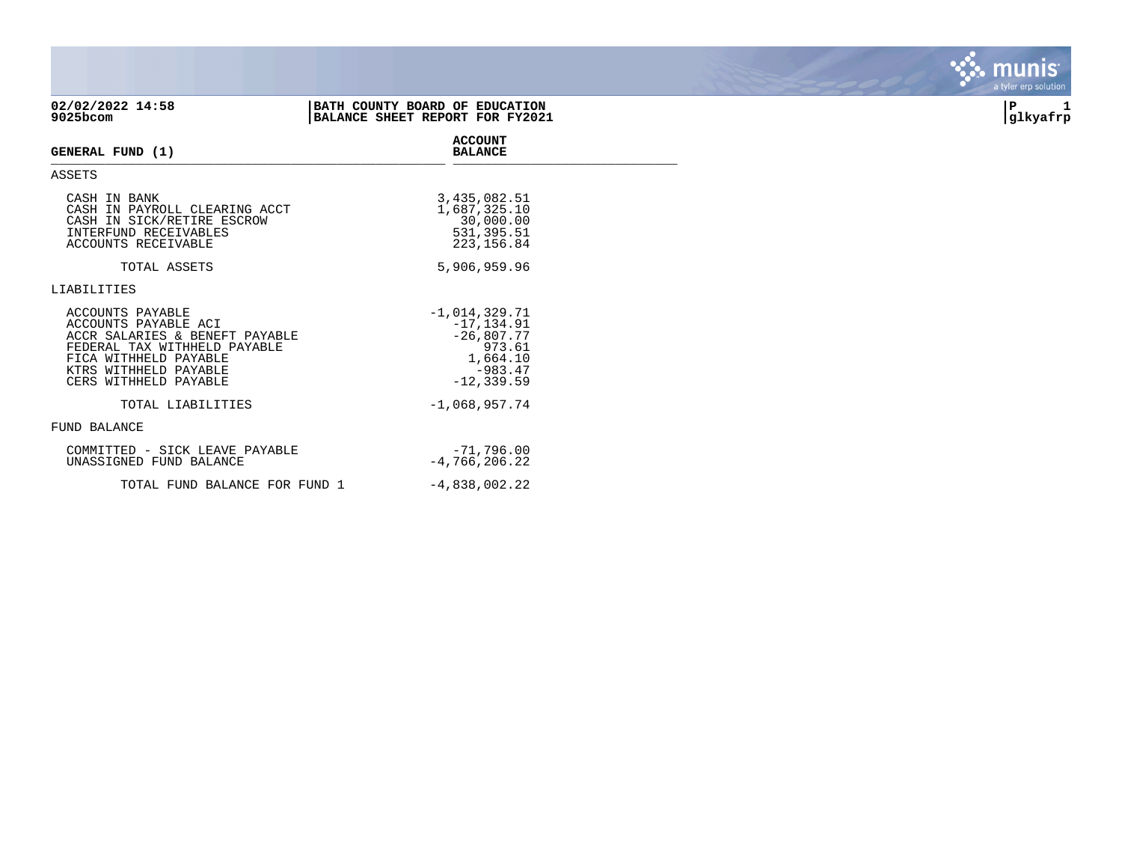| 02/02/2022 14:58<br>9025bcom                                                                                                                                                          | BATH COUNTY BOARD OF EDUCATION<br>BALANCE SHEET REPORT FOR FY2021 |                                                                                   | IΡ<br>glkyafrp |
|---------------------------------------------------------------------------------------------------------------------------------------------------------------------------------------|-------------------------------------------------------------------|-----------------------------------------------------------------------------------|----------------|
| GENERAL FUND (1)                                                                                                                                                                      | <b>ACCOUNT</b><br><b>BALANCE</b>                                  |                                                                                   |                |
| <b>ASSETS</b>                                                                                                                                                                         |                                                                   |                                                                                   |                |
| CASH IN BANK<br>CASH IN PAYROLL CLEARING ACCT<br>CASH IN SICK/RETIRE ESCROW<br>INTERFUND RECEIVABLES<br>ACCOUNTS RECEIVABLE                                                           |                                                                   | 3,435,082.51<br>1,687,325.10<br>30,000.00<br>531, 395.51<br>223, 156.84           |                |
| TOTAL ASSETS                                                                                                                                                                          |                                                                   | 5,906,959.96                                                                      |                |
| LIABILITIES                                                                                                                                                                           |                                                                   |                                                                                   |                |
| ACCOUNTS PAYABLE<br>ACCOUNTS PAYABLE ACI<br>ACCR SALARIES & BENEFT PAYABLE<br>FEDERAL TAX WITHHELD PAYABLE<br>FICA WITHHELD PAYABLE<br>KTRS WITHHELD PAYABLE<br>CERS WITHHELD PAYABLE | $-1,014,329.71$                                                   | $-17, 134.91$<br>$-26,807.77$<br>973.61<br>1,664.10<br>$-983.47$<br>$-12, 339.59$ |                |
| TOTAL LIABILITIES                                                                                                                                                                     | $-1,068,957.74$                                                   |                                                                                   |                |
| FUND BALANCE                                                                                                                                                                          |                                                                   |                                                                                   |                |
| COMMITTED - SICK LEAVE PAYABLE<br>UNASSIGNED FUND BALANCE                                                                                                                             | $-4,766,206.22$                                                   | $-71,796.00$                                                                      |                |

TOTAL FUND BALANCE FOR FUND  $1$  -4,838,002.22

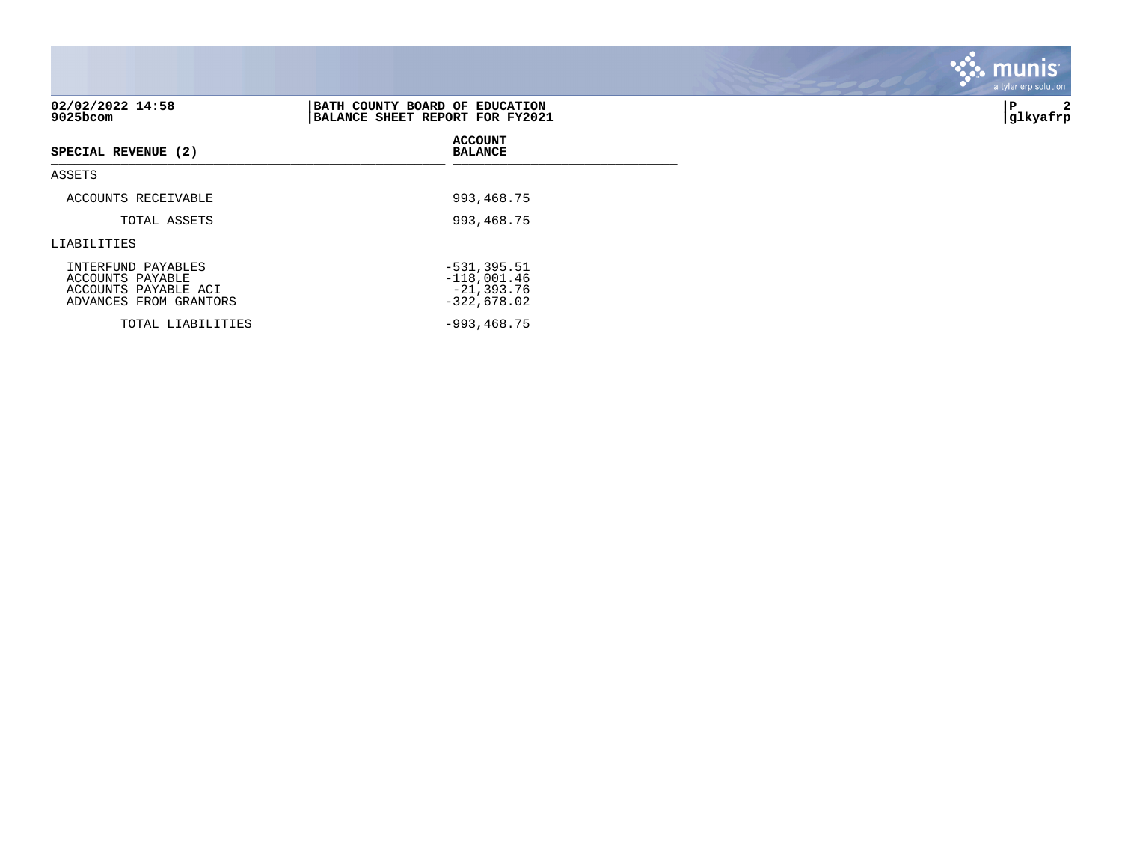|                                                                                          |                                                                   | <b>munis</b><br>a tyler erp solution |
|------------------------------------------------------------------------------------------|-------------------------------------------------------------------|--------------------------------------|
| 02/02/2022 14:58<br>9025bcom                                                             | BATH COUNTY BOARD OF EDUCATION<br>BALANCE SHEET REPORT FOR FY2021 | P<br> glkyafrp                       |
| SPECIAL REVENUE (2)                                                                      | <b>ACCOUNT</b><br><b>BALANCE</b>                                  |                                      |
| ASSETS                                                                                   |                                                                   |                                      |
| ACCOUNTS RECEIVABLE                                                                      | 993, 468. 75                                                      |                                      |
| TOTAL ASSETS                                                                             | 993,468.75                                                        |                                      |
| LIABILITIES                                                                              |                                                                   |                                      |
| INTERFUND PAYABLES<br>ACCOUNTS PAYABLE<br>ACCOUNTS PAYABLE ACI<br>ADVANCES FROM GRANTORS | $-531, 395.51$<br>$-118,001.46$<br>$-21, 393.76$<br>$-322,678.02$ |                                      |
| TOTAL LIABILITIES                                                                        | $-993, 468.75$                                                    |                                      |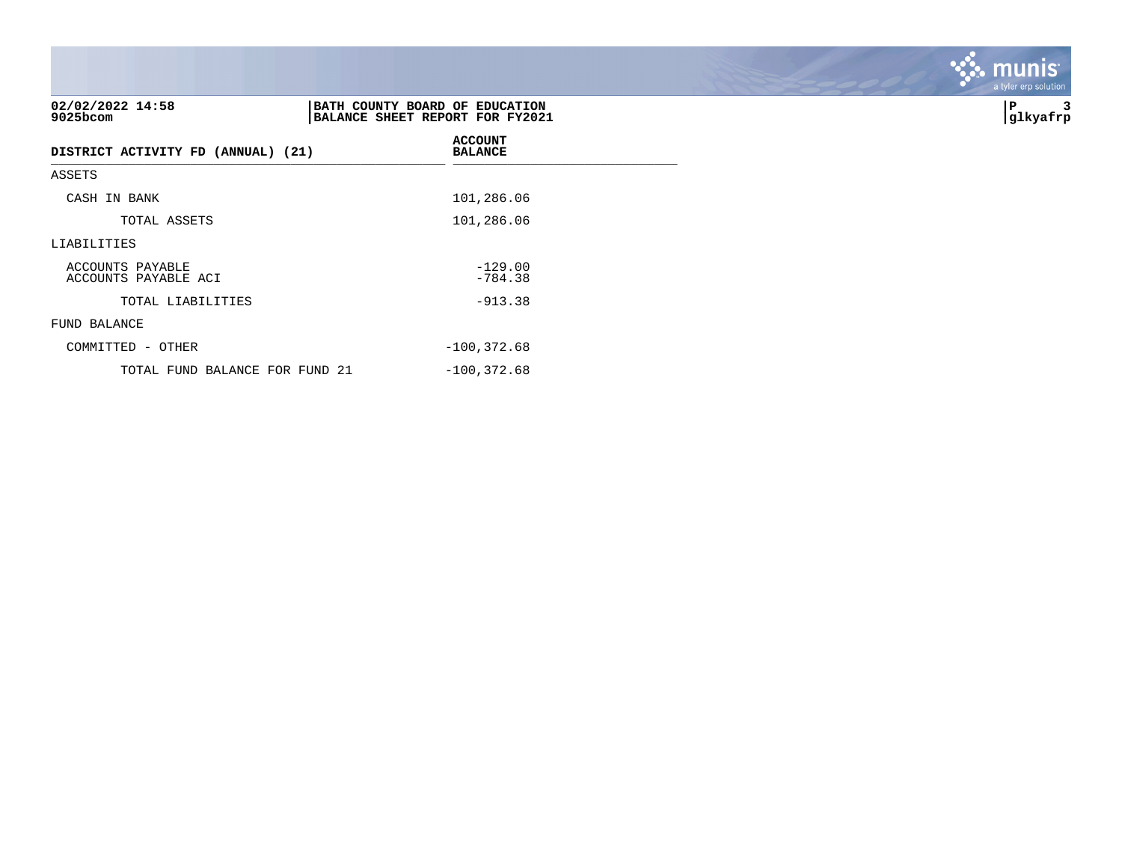| 02/02/2022 14:58<br>9025bcom             | BATH COUNTY BOARD OF EDUCATION<br>BALANCE SHEET REPORT FOR FY2021 | ∣P<br> glkyafrp |
|------------------------------------------|-------------------------------------------------------------------|-----------------|
| DISTRICT ACTIVITY FD (ANNUAL) (21)       | <b>ACCOUNT</b><br><b>BALANCE</b>                                  |                 |
| ASSETS                                   |                                                                   |                 |
| CASH IN BANK                             | 101,286.06                                                        |                 |
| TOTAL ASSETS                             | 101,286.06                                                        |                 |
| LIABILITIES                              |                                                                   |                 |
| ACCOUNTS PAYABLE<br>ACCOUNTS PAYABLE ACI | $-129.00$<br>$-784.38$                                            |                 |
| TOTAL LIABILITIES                        | $-913.38$                                                         |                 |
| FUND BALANCE                             |                                                                   |                 |
| COMMITTED - OTHER                        | $-100, 372.68$                                                    |                 |
| TOTAL FUND BALANCE FOR FUND 21           | $-100, 372.68$                                                    |                 |

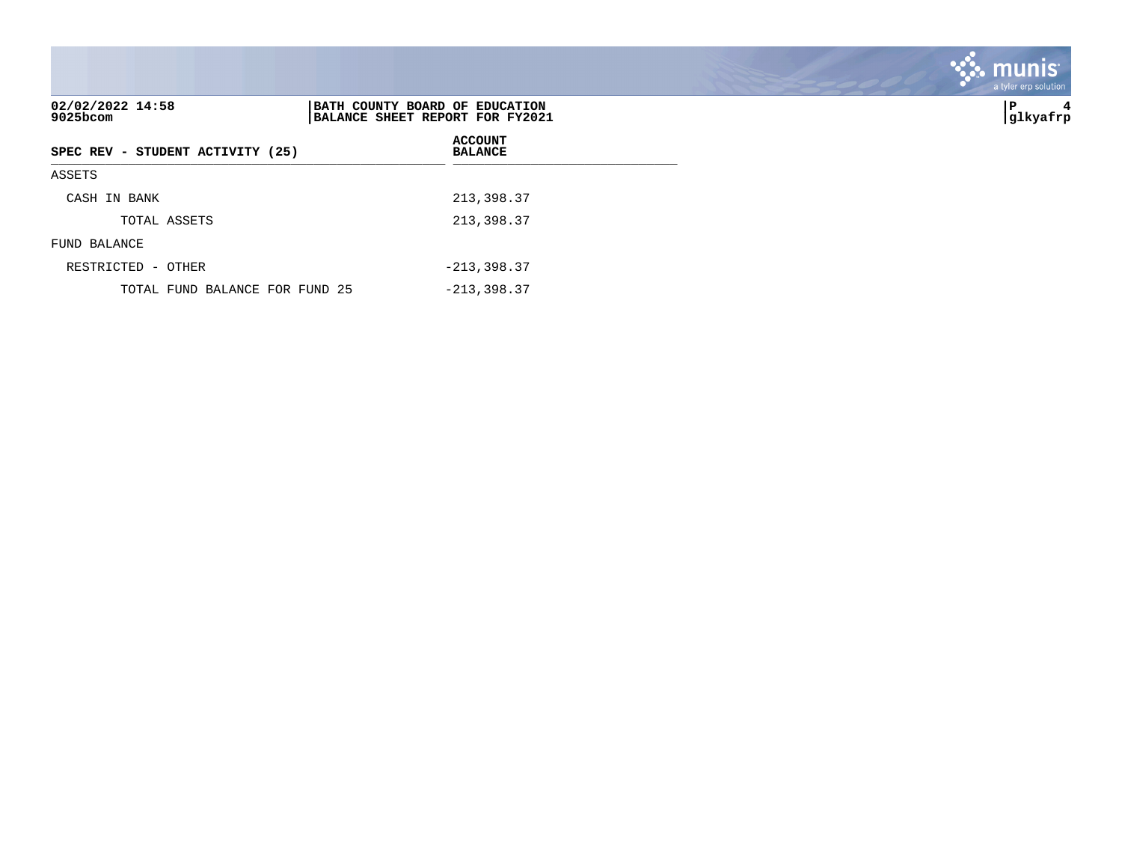| 02/02/2022 14:58<br>$9025$ bcom  | BATH COUNTY BOARD OF EDUCATION<br>BALANCE SHEET REPORT FOR FY2021 | ∣P<br>4<br> glkyafrp |
|----------------------------------|-------------------------------------------------------------------|----------------------|
| SPEC REV - STUDENT ACTIVITY (25) | <b>ACCOUNT</b><br><b>BALANCE</b>                                  |                      |
| ASSETS                           |                                                                   |                      |
| CASH IN BANK                     | 213,398.37                                                        |                      |
| TOTAL ASSETS                     | 213,398.37                                                        |                      |
| FUND BALANCE                     |                                                                   |                      |
| RESTRICTED - OTHER               | $-213, 398.37$                                                    |                      |
| TOTAL FUND BALANCE FOR FUND 25   | $-213, 398.37$                                                    |                      |

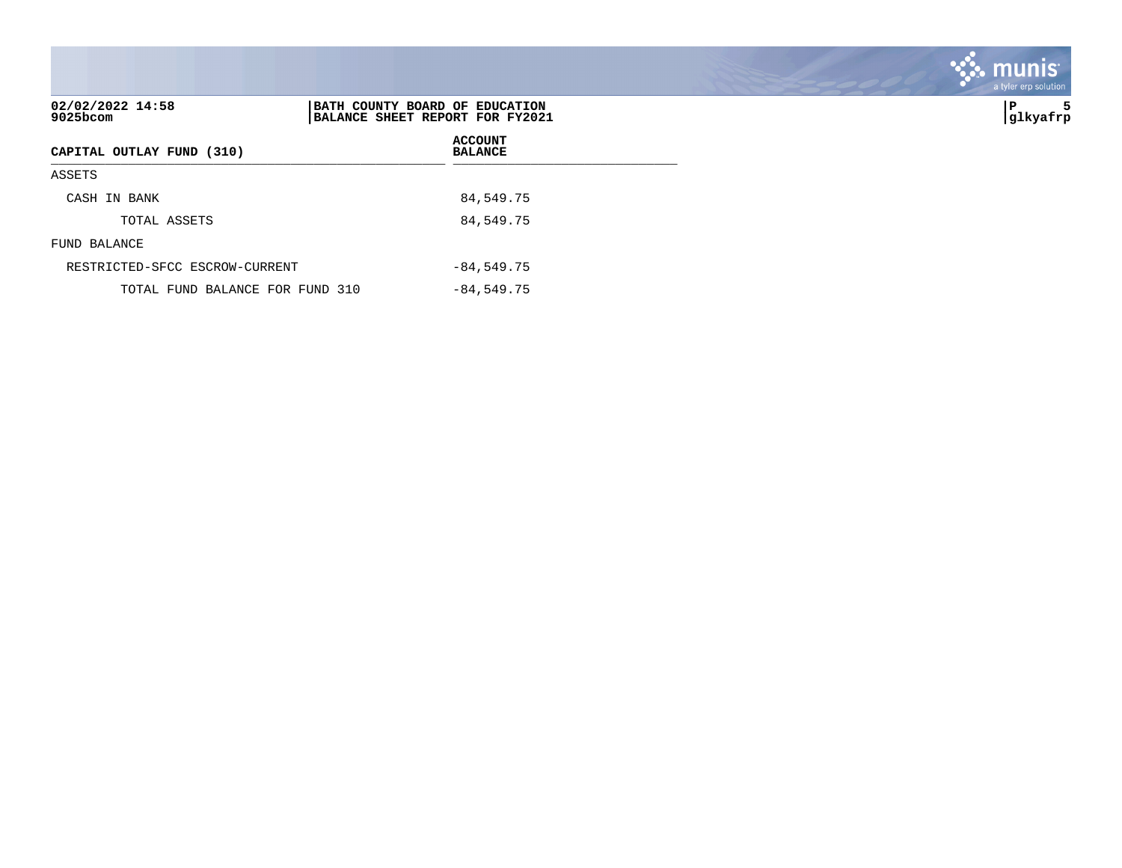| 02/02/2022 14:58<br>9025bcom    | BATH COUNTY BOARD OF EDUCATION<br>BALANCE SHEET REPORT FOR FY2021 | ΙP<br>5<br> glkyafrp |
|---------------------------------|-------------------------------------------------------------------|----------------------|
| CAPITAL OUTLAY FUND (310)       | <b>ACCOUNT</b><br><b>BALANCE</b>                                  |                      |
| ASSETS                          |                                                                   |                      |
| CASH IN BANK                    | 84,549.75                                                         |                      |
| TOTAL ASSETS                    | 84,549.75                                                         |                      |
| FUND BALANCE                    |                                                                   |                      |
| RESTRICTED-SFCC ESCROW-CURRENT  | $-84,549.75$                                                      |                      |
| TOTAL FUND BALANCE FOR FUND 310 | $-84,549.75$                                                      |                      |

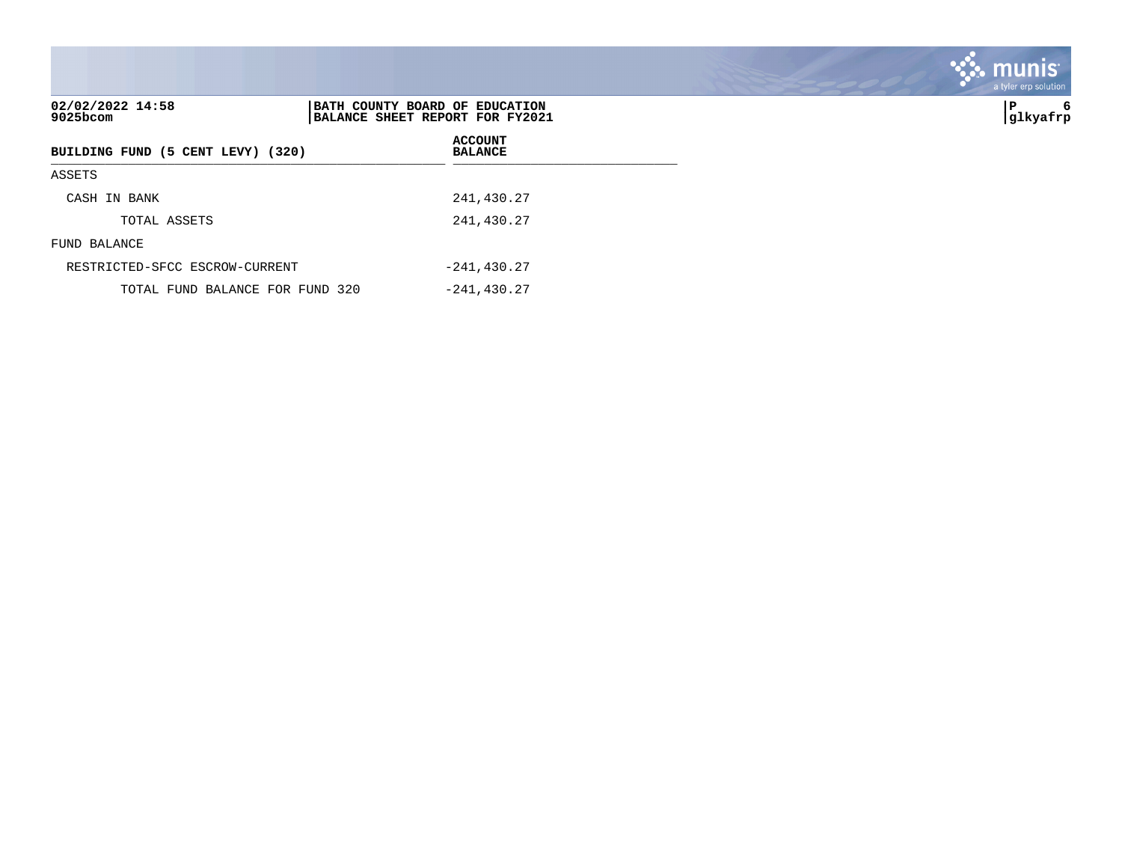| 02/02/2022 14:58<br>9025bcom      | BATH COUNTY BOARD OF EDUCATION<br>BALANCE SHEET REPORT FOR FY2021 |                                  | IΡ<br>6<br> glkyafrp |
|-----------------------------------|-------------------------------------------------------------------|----------------------------------|----------------------|
| BUILDING FUND (5 CENT LEVY) (320) |                                                                   | <b>ACCOUNT</b><br><b>BALANCE</b> |                      |
| ASSETS                            |                                                                   |                                  |                      |
| CASH IN BANK                      |                                                                   | 241,430.27                       |                      |
| TOTAL ASSETS                      |                                                                   | 241,430.27                       |                      |
| FUND BALANCE                      |                                                                   |                                  |                      |
| RESTRICTED-SFCC ESCROW-CURRENT    |                                                                   | $-241, 430.27$                   |                      |
| TOTAL FUND BALANCE FOR FUND 320   |                                                                   | $-241, 430.27$                   |                      |

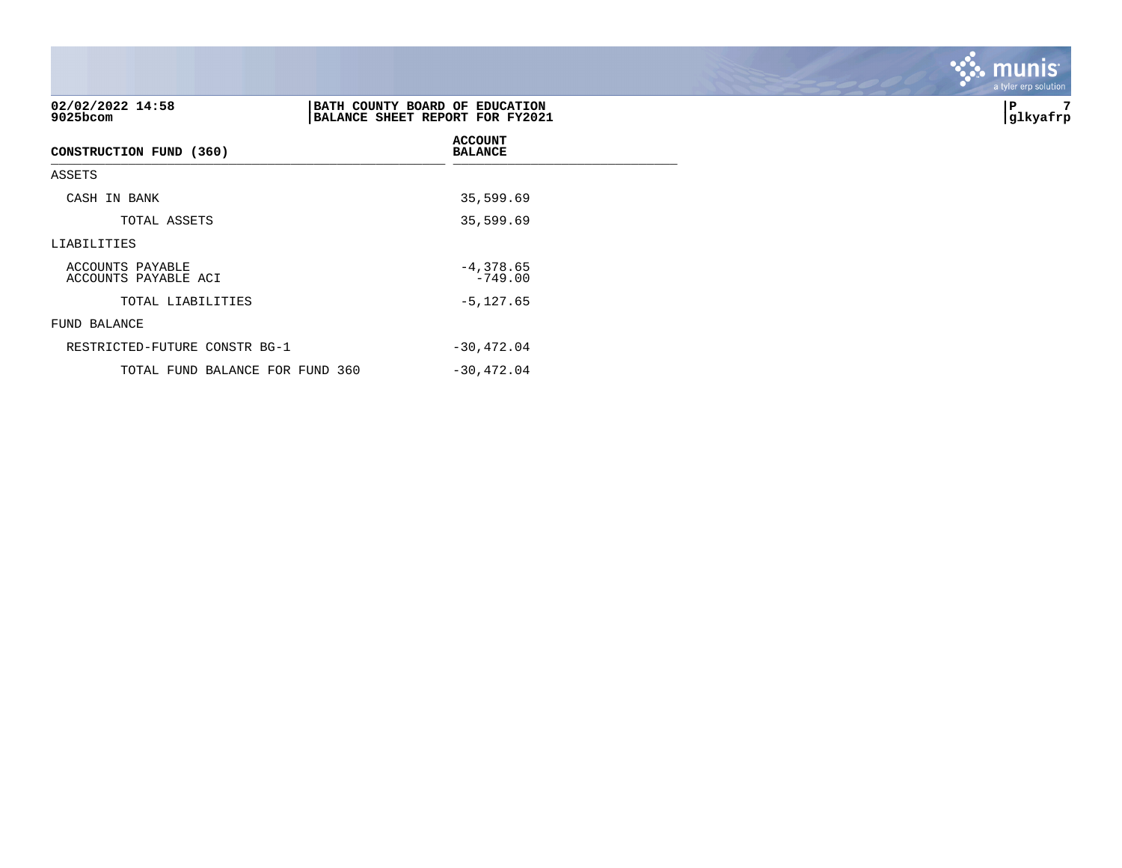| 02/02/2022 14:58<br>9025bcom             | BATH COUNTY BOARD OF EDUCATION<br>BALANCE SHEET REPORT FOR FY2021 | 7<br>P<br> glkyafrp |
|------------------------------------------|-------------------------------------------------------------------|---------------------|
| CONSTRUCTION FUND (360)                  | <b>ACCOUNT</b><br><b>BALANCE</b>                                  |                     |
| ASSETS                                   |                                                                   |                     |
| CASH IN BANK                             | 35,599.69                                                         |                     |
| TOTAL ASSETS                             | 35,599.69                                                         |                     |
| LIABILITIES                              |                                                                   |                     |
| ACCOUNTS PAYABLE<br>ACCOUNTS PAYABLE ACI | $-4,378.65$<br>$-749.00$                                          |                     |
| TOTAL LIABILITIES                        | $-5, 127.65$                                                      |                     |
| FUND BALANCE                             |                                                                   |                     |
| RESTRICTED-FUTURE CONSTR BG-1            | $-30,472.04$                                                      |                     |
| TOTAL FUND BALANCE FOR FUND 360          | $-30,472.04$                                                      |                     |

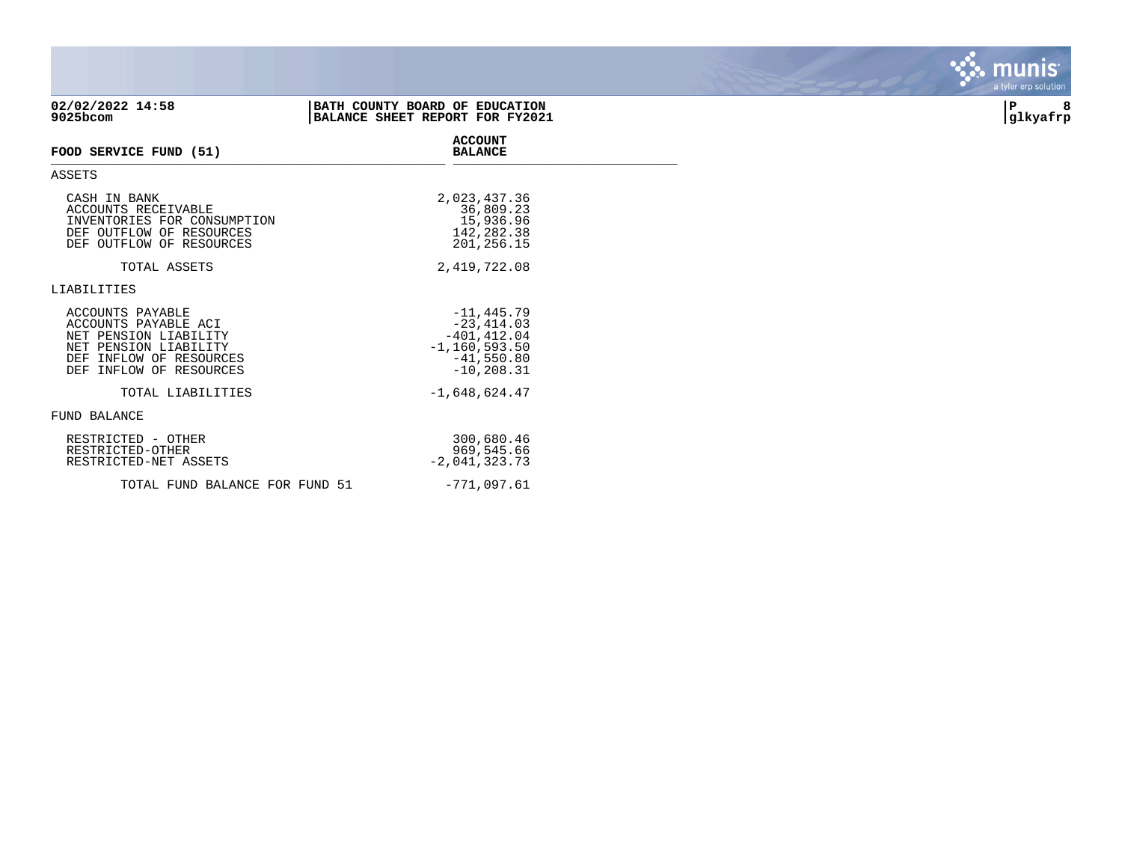| 02/02/2022 14:58<br>9025bcom                                                                                                                        | BATH COUNTY BOARD OF EDUCATION<br>BALANCE SHEET REPORT FOR FY2021                                      | 8<br>P<br> glkyafrp |
|-----------------------------------------------------------------------------------------------------------------------------------------------------|--------------------------------------------------------------------------------------------------------|---------------------|
| FOOD SERVICE FUND (51)                                                                                                                              | <b>ACCOUNT</b><br><b>BALANCE</b>                                                                       |                     |
| ASSETS                                                                                                                                              |                                                                                                        |                     |
| CASH IN BANK<br>ACCOUNTS RECEIVABLE<br>INVENTORIES FOR CONSUMPTION<br>DEF OUTFLOW OF RESOURCES<br>DEF OUTFLOW OF RESOURCES                          | 2,023,437.36<br>36,809.23<br>15,936.96<br>142,282.38<br>201,256.15                                     |                     |
| TOTAL ASSETS                                                                                                                                        | 2,419,722.08                                                                                           |                     |
| LIABILITIES                                                                                                                                         |                                                                                                        |                     |
| ACCOUNTS PAYABLE<br>ACCOUNTS PAYABLE ACI<br>NET PENSION LIABILITY<br>NET PENSION LIABILITY<br>DEF INFLOW OF RESOURCES<br>INFLOW OF RESOURCES<br>DEF | $-11, 445.79$<br>$-23, 414.03$<br>$-401, 412.04$<br>$-1, 160, 593.50$<br>$-41,550.80$<br>$-10, 208.31$ |                     |
| TOTAL LIABILITIES                                                                                                                                   | $-1,648,624.47$                                                                                        |                     |
| FUND BALANCE                                                                                                                                        |                                                                                                        |                     |
| RESTRICTED - OTHER<br>RESTRICTED-OTHER<br>RESTRICTED-NET ASSETS                                                                                     | 300,680.46<br>969,545.66<br>$-2,041,323.73$                                                            |                     |
| TOTAL FUND BALANCE FOR FUND 51                                                                                                                      | $-771,097.61$                                                                                          |                     |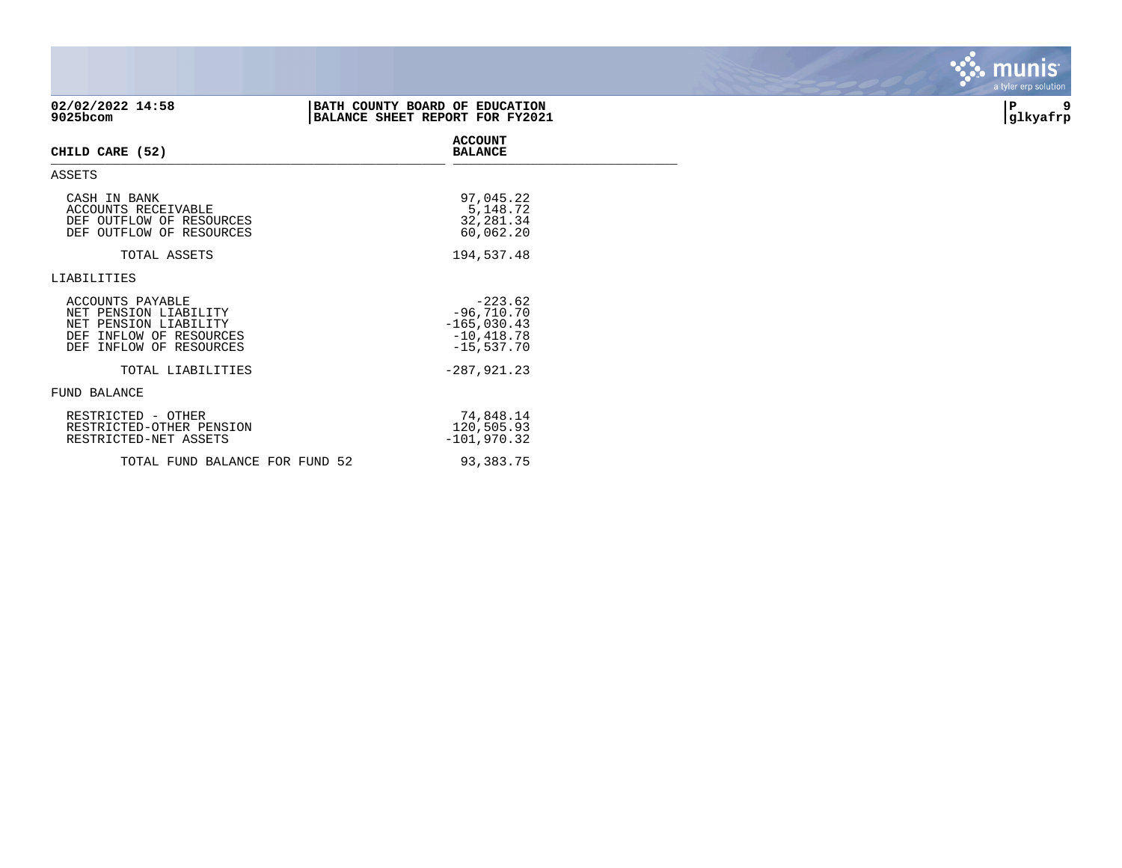| 02/02/2022 14:58<br>9025bcom                                                                                             | BATH COUNTY BOARD OF EDUCATION<br>BALANCE SHEET REPORT FOR FY2021           | 9<br>P<br>glkyafrp |
|--------------------------------------------------------------------------------------------------------------------------|-----------------------------------------------------------------------------|--------------------|
| CHILD CARE (52)                                                                                                          | <b>ACCOUNT</b><br><b>BALANCE</b>                                            |                    |
| ASSETS                                                                                                                   |                                                                             |                    |
| CASH IN BANK<br>ACCOUNTS RECEIVABLE<br>DEF OUTFLOW OF RESOURCES<br>DEF OUTFLOW OF RESOURCES                              | 97,045.22<br>5,148.72<br>32, 281.34<br>60,062.20                            |                    |
| TOTAL ASSETS                                                                                                             | 194,537.48                                                                  |                    |
| LIABILITIES                                                                                                              |                                                                             |                    |
| ACCOUNTS PAYABLE<br>NET PENSION LIABILITY<br>NET PENSION LIABILITY<br>DEF INFLOW OF RESOURCES<br>DEF INFLOW OF RESOURCES | $-223.62$<br>$-96,710.70$<br>$-165,030.43$<br>$-10, 418.78$<br>$-15,537.70$ |                    |
| TOTAL LIABILITIES                                                                                                        | $-287,921.23$                                                               |                    |
| FUND BALANCE                                                                                                             |                                                                             |                    |
| RESTRICTED - OTHER<br>RESTRICTED-OTHER PENSION<br>RESTRICTED-NET ASSETS                                                  | 74,848.14<br>120,505.93<br>$-101,970.32$                                    |                    |
| TOTAL FUND BALANCE FOR FUND 52                                                                                           | 93,383.75                                                                   |                    |

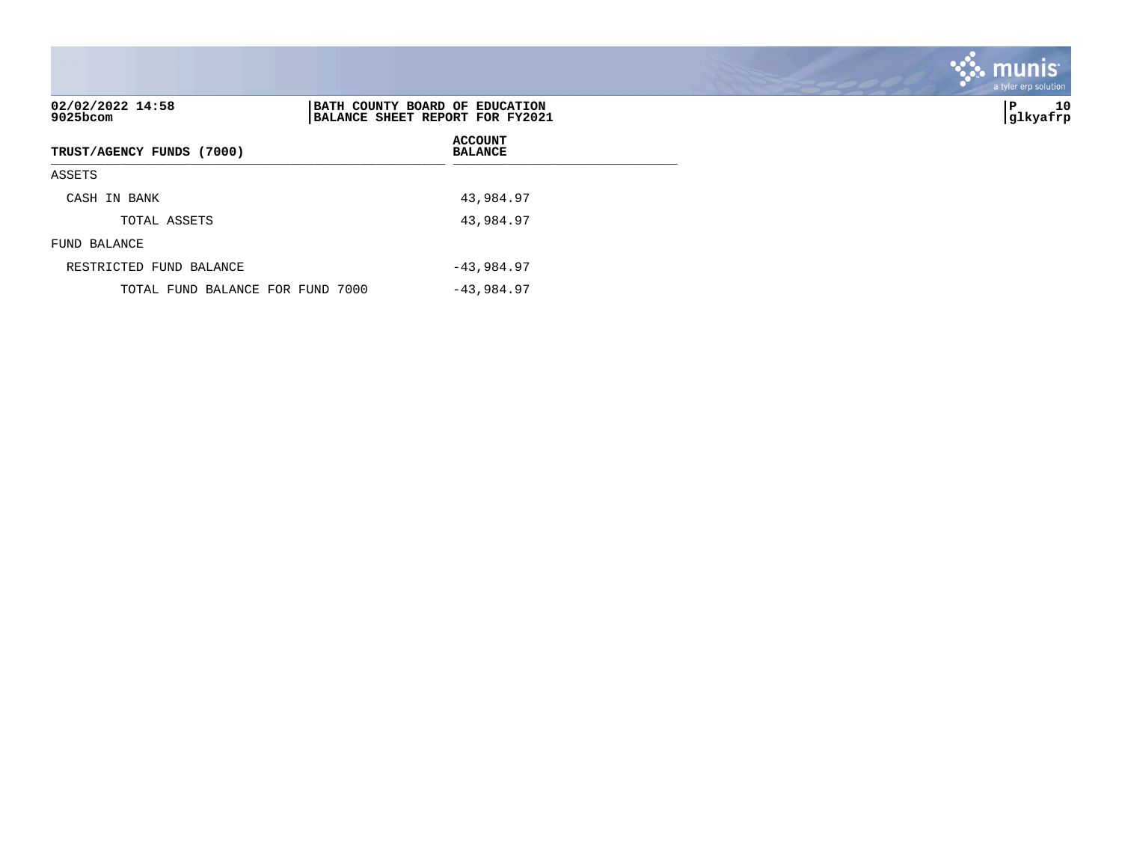| 02/02/2022 14:58<br>9025bcom     | BATH COUNTY BOARD OF EDUCATION<br>BALANCE SHEET REPORT FOR FY2021 | 10<br>P<br> glkyafrp |
|----------------------------------|-------------------------------------------------------------------|----------------------|
| TRUST/AGENCY FUNDS (7000)        | <b>ACCOUNT</b><br><b>BALANCE</b>                                  |                      |
| ASSETS                           |                                                                   |                      |
| CASH IN BANK                     | 43,984.97                                                         |                      |
| TOTAL ASSETS                     | 43,984.97                                                         |                      |
| FUND BALANCE                     |                                                                   |                      |
| RESTRICTED FUND BALANCE          | $-43,984.97$                                                      |                      |
| TOTAL FUND BALANCE FOR FUND 7000 | $-43,984.97$                                                      |                      |

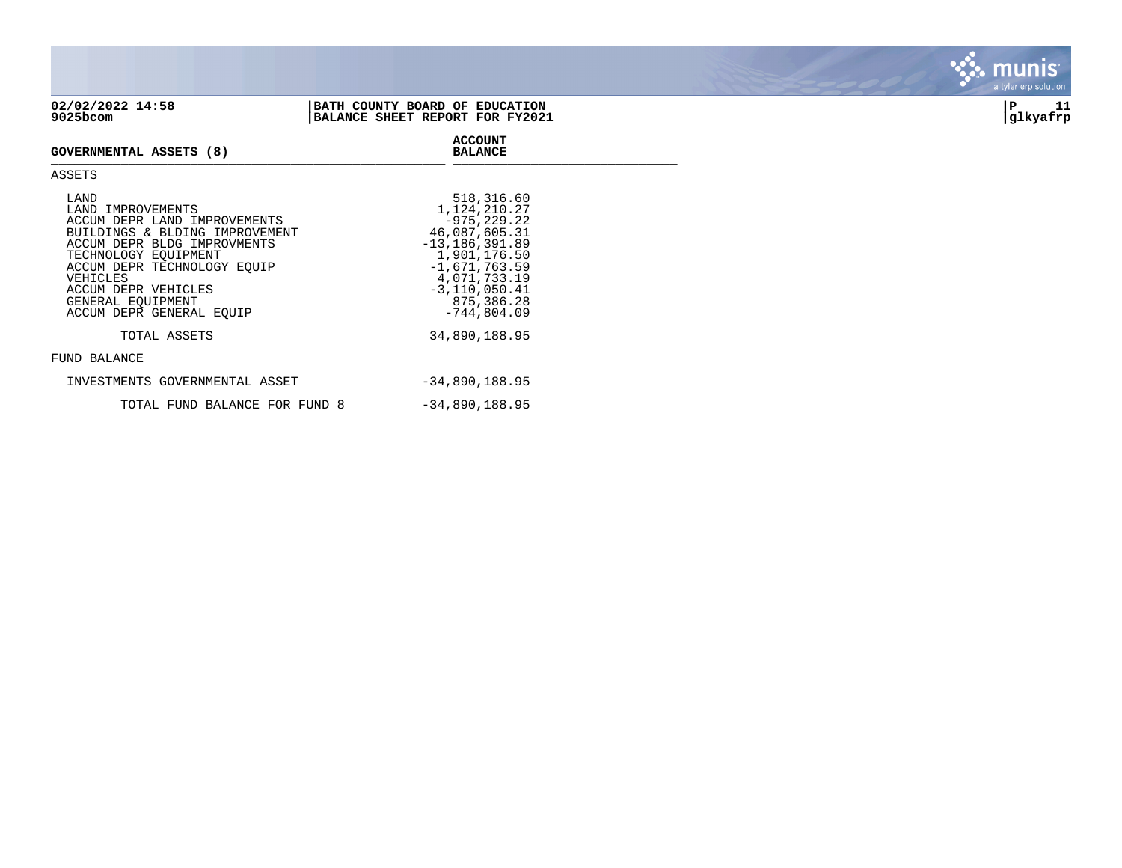| 02/02/2022 14:58<br>9025bcom                                                                                                                                                                                         | BATH COUNTY BOARD OF EDUCATION<br>BALANCE SHEET REPORT FOR FY2021                                                                                          | 11<br>ΙP<br> glkyafrp |
|----------------------------------------------------------------------------------------------------------------------------------------------------------------------------------------------------------------------|------------------------------------------------------------------------------------------------------------------------------------------------------------|-----------------------|
| GOVERNMENTAL ASSETS (8)                                                                                                                                                                                              | <b>ACCOUNT</b><br><b>BALANCE</b>                                                                                                                           |                       |
| ASSETS                                                                                                                                                                                                               |                                                                                                                                                            |                       |
| LAND<br>LAND IMPROVEMENTS<br>ACCUM DEPR LAND IMPROVEMENTS<br>BUILDINGS & BLDING IMPROVEMENT<br>ACCUM DEPR BLDG IMPROVMENTS<br>TECHNOLOGY EQUIPMENT<br>ACCUM DEPR TECHNOLOGY EQUIP<br>VEHICLES<br>ACCUM DEPR VEHICLES | 518,316.60<br>1,124,210.27<br>$-975.229.22$<br>46,087,605.31<br>$-13, 186, 391.89$<br>1,901,176.50<br>$-1,671,763.59$<br>4,071,733.19<br>$-3, 110, 050.41$ |                       |





## TOTAL ASSETS 34,890,188.95

## FUND BALANCE

| INVESTMENTS GOVERNMENTAL ASSET | -34,890,188.95   |
|--------------------------------|------------------|
| TOTAL FUND BALANCE FOR FUND 8  | $-34,890,188.95$ |

ACCUM DEPR GENERAL EQUIP -744,804.09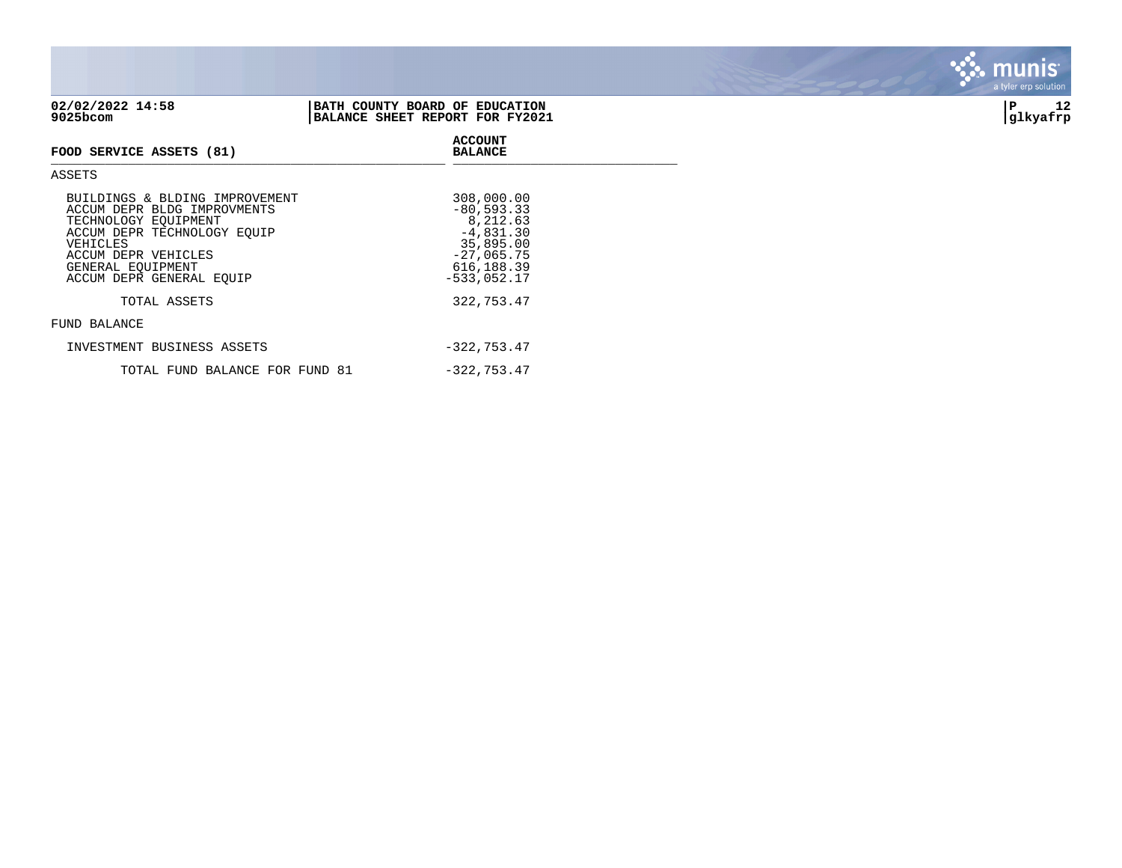| 9025bcom                                                                                                             | BALANCE SHEET REPORT FOR FY2021                       | --<br> glkyafrp |
|----------------------------------------------------------------------------------------------------------------------|-------------------------------------------------------|-----------------|
| FOOD SERVICE ASSETS (81)                                                                                             | <b>ACCOUNT</b><br><b>BALANCE</b>                      |                 |
| ASSETS                                                                                                               |                                                       |                 |
| BUILDINGS & BLDING IMPROVEMENT<br>ACCUM DEPR BLDG IMPROVMENTS<br>TECHNOLOGY EOUIPMENT<br>ACCUM DEPR TECHNOLOGY EOUIP | 308,000.00<br>$-80,593.33$<br>8,212.63<br>$-4,831.30$ |                 |

TOTAL ASSETS 322,753.47

TOTAL FUND BALANCE FOR FUND 81 -322,753.47

GENERAL EQUIPMENT 616,188.39

INVESTMENT BUSINESS ASSETS  $-322,753.47$ 

35,895.00<br>27,065.75<br>616,188.39

| 02/02/2022 14:58 | <i>I</i> COUNTY BOARD OF EDUCATION<br><b>BATH</b> |              | . . |
|------------------|---------------------------------------------------|--------------|-----|
| 9025bcom         | SHEET REPORT FOR FY2021<br><b>BALANCE</b>         | lkyafrp<br>. |     |

ACCUM DEPR VEHICLES

FUND BALANCE

ACCUM DEPR TECHNOLOGY EQUIP<br>VEHICLES

ACCUM DEPR GENERAL EQUIP

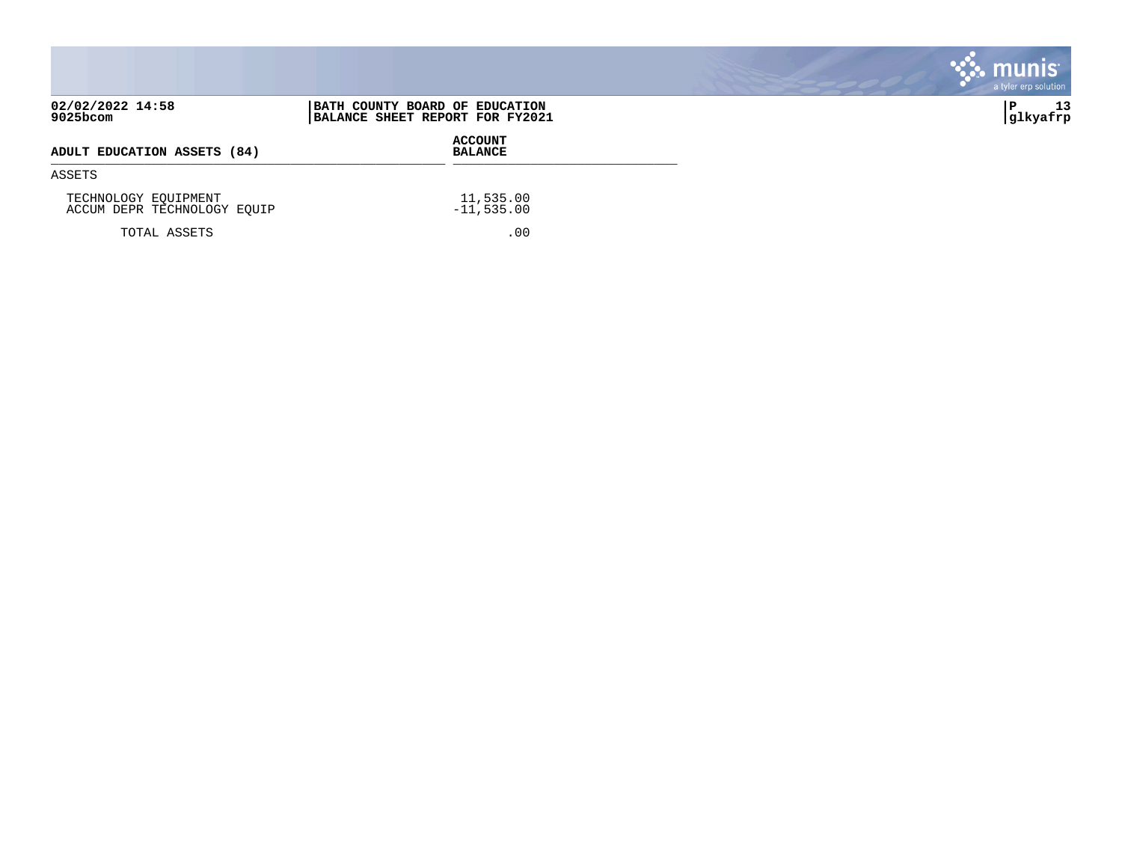|                                                     |                                                                   | munis<br>a tyler erp solution |
|-----------------------------------------------------|-------------------------------------------------------------------|-------------------------------|
| 02/02/2022 14:58<br>9025bcom                        | BATH COUNTY BOARD OF EDUCATION<br>BALANCE SHEET REPORT FOR FY2021 | 13<br>∣P<br> glkyafrp         |
| ADULT EDUCATION ASSETS (84)                         | <b>ACCOUNT</b><br><b>BALANCE</b>                                  |                               |
| ASSETS                                              |                                                                   |                               |
| TECHNOLOGY EQUIPMENT<br>ACCUM DEPR TECHNOLOGY EQUIP | 11,535.00<br>$-11,535.00$                                         |                               |
| TOTAL ASSETS                                        | .00                                                               |                               |